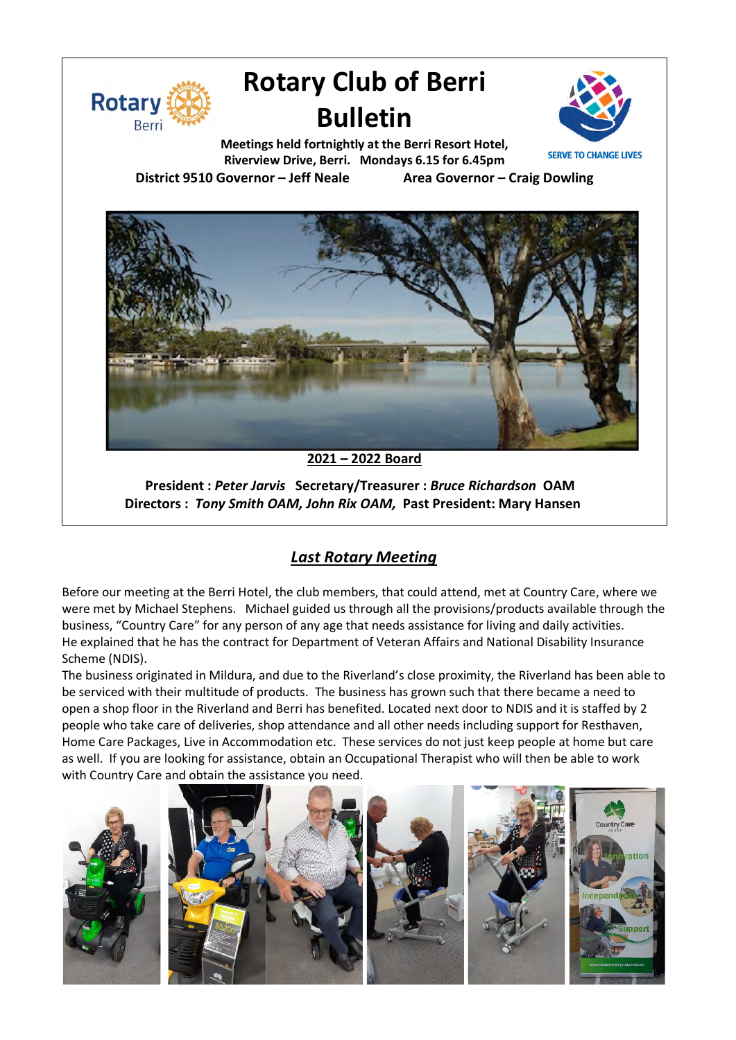

# **Rotary Club of Berri Bulletin**



**Meetings held fortnightly at the Berri Resort Hotel, Riverview Drive, Berri. Mondays 6.15 for 6.45pm District 9510 Governor – Jeff Neale Area Governor – Craig Dowling**



**2021 – 2022 Board**

**President :** *Peter Jarvis* **Secretary/Treasurer :** *Bruce Richardson* **OAM Directors :** *Tony Smith OAM, John Rix OAM,* **Past President: Mary Hansen**

## *Last Rotary Meeting*

Before our meeting at the Berri Hotel, the club members, that could attend, met at Country Care, where we were met by Michael Stephens. Michael guided us through all the provisions/products available through the business, "Country Care" for any person of any age that needs assistance for living and daily activities. He explained that he has the contract for Department of Veteran Affairs and National Disability Insurance Scheme (NDIS).

The business originated in Mildura, and due to the Riverland's close proximity, the Riverland has been able to be serviced with their multitude of products. The business has grown such that there became a need to open a shop floor in the Riverland and Berri has benefited. Located next door to NDIS and it is staffed by 2 people who take care of deliveries, shop attendance and all other needs including support for Resthaven, Home Care Packages, Live in Accommodation etc. These services do not just keep people at home but care as well. If you are looking for assistance, obtain an Occupational Therapist who will then be able to work with Country Care and obtain the assistance you need.

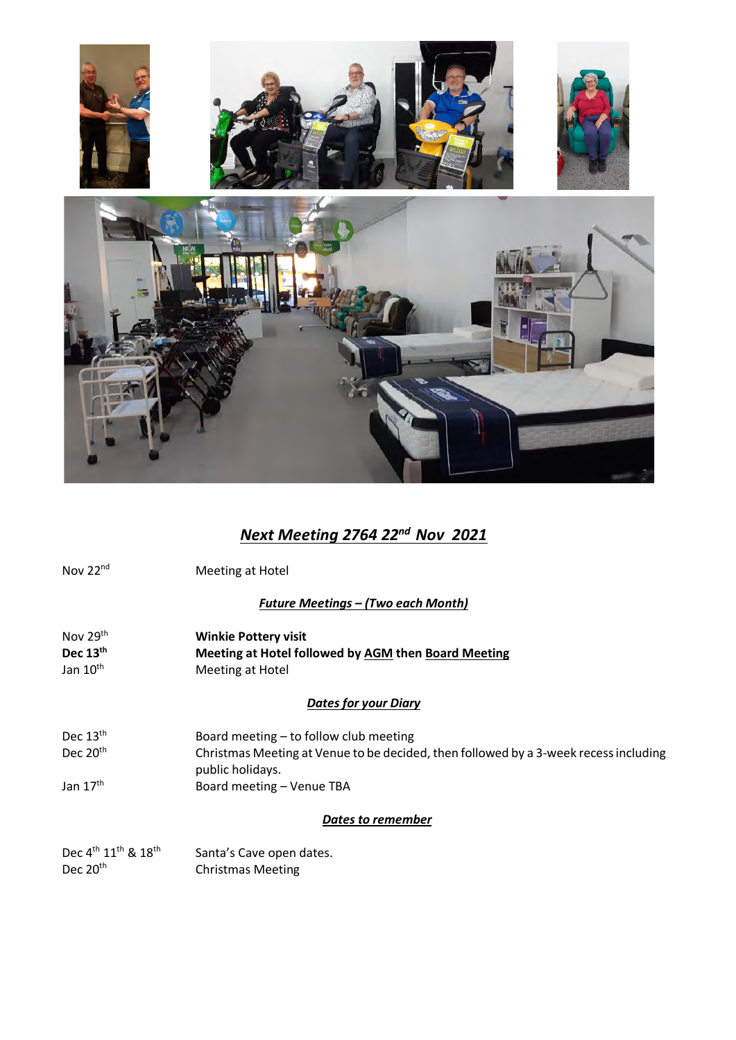

## *Next Meeting 2764 22nd Nov 2021*

Nov 22<sup>nd</sup> Meeting at Hotel

#### *Future Meetings – (Two each Month)*

Nov 29th **Winkie Pottery visit Dec 13<sup>th</sup> <b>Meeting at Hotel followed by <u>AGM</u> then Board Meeting**<br>Jan 10<sup>th</sup> Meeting at Hotel Meeting at Hotel

#### *Dates for your Diary*

| Dec $13th$           | Board meeting – to follow club meeting                                               |
|----------------------|--------------------------------------------------------------------------------------|
| Dec $20th$           | Christmas Meeting at Venue to be decided, then followed by a 3-week recess including |
|                      | public holidays.                                                                     |
| Jan 17 <sup>th</sup> | Board meeting – Venue TBA                                                            |

#### *Dates to remember*

| Dec 4 <sup>th</sup> 11 <sup>th</sup> & 18 <sup>th</sup> | Santa's Cave open dates. |
|---------------------------------------------------------|--------------------------|
| Dec 20 <sup>th</sup>                                    | <b>Christmas Meeting</b> |